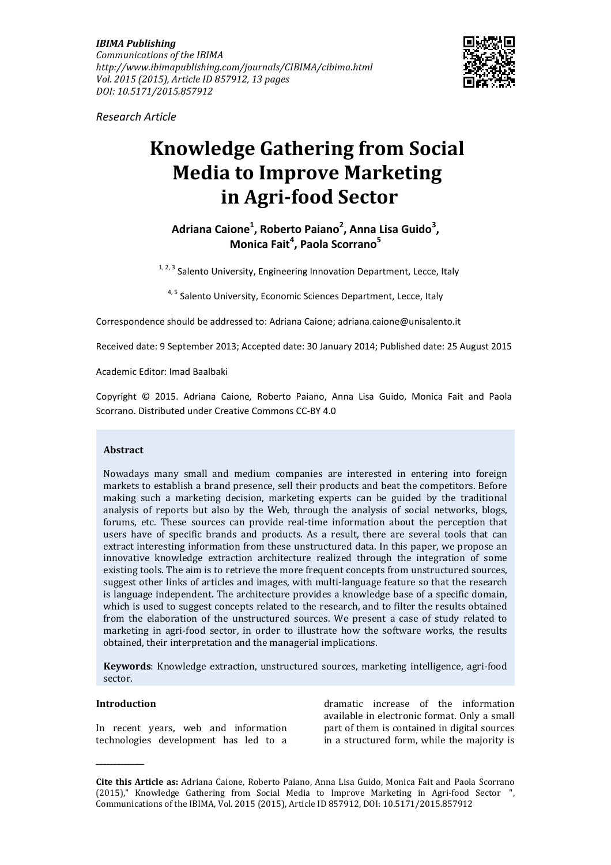*IBIMA Publishing Communications of the IBIMA http://www.ibimapublishing.com/journals/CIBIMA/cibima.html Vol. 2015 (2015), Article ID 857912, 13 pages DOI: 10.5171/2015.857912* 



*Research Article* 

# **Knowledge Gathering from Social Media to Improve Marketing in Agri-food Sector**

**Adriana Caione<sup>1</sup> , Roberto Paiano<sup>2</sup> , Anna Lisa Guido<sup>3</sup> , Monica Fait<sup>4</sup> , Paola Scorrano<sup>5</sup>**

 $1, 2, 3$  Salento University, Engineering Innovation Department, Lecce, Italy

4, <sup>5</sup> Salento University, Economic Sciences Department, Lecce, Italy

Correspondence should be addressed to: Adriana Caione; adriana.caione@unisalento.it

Received date: 9 September 2013; Accepted date: 30 January 2014; Published date: 25 August 2015

Academic Editor: Imad Baalbaki

Copyright © 2015. Adriana Caione*,* Roberto Paiano, Anna Lisa Guido, Monica Fait and Paola Scorrano. Distributed under Creative Commons CC-BY 4.0

#### **Abstract**

Nowadays many small and medium companies are interested in entering into foreign markets to establish a brand presence, sell their products and beat the competitors. Before making such a marketing decision, marketing experts can be guided by the traditional analysis of reports but also by the Web, through the analysis of social networks, blogs, forums, etc. These sources can provide real-time information about the perception that users have of specific brands and products. As a result, there are several tools that can extract interesting information from these unstructured data. In this paper, we propose an innovative knowledge extraction architecture realized through the integration of some existing tools. The aim is to retrieve the more frequent concepts from unstructured sources, suggest other links of articles and images, with multi-language feature so that the research is language independent. The architecture provides a knowledge base of a specific domain, which is used to suggest concepts related to the research, and to filter the results obtained from the elaboration of the unstructured sources. We present a case of study related to marketing in agri-food sector, in order to illustrate how the software works, the results obtained, their interpretation and the managerial implications.

**Keywords**: Knowledge extraction, unstructured sources, marketing intelligence, agri-food sector.

## **Introduction**

**\_\_\_\_\_\_\_\_\_\_\_\_\_\_** 

In recent years, web and information technologies development has led to a

dramatic increase of the information available in electronic format. Only a small part of them is contained in digital sources in a structured form, while the majority is

**Cite this Article as:** Adriana Caione*,* Roberto Paiano, Anna Lisa Guido, Monica Fait and Paola Scorrano (2015)," Knowledge Gathering from Social Media to Improve Marketing in Agri-food Sector ", Communications of the IBIMA, Vol. 2015 (2015), Article ID 857912, DOI: 10.5171/2015.857912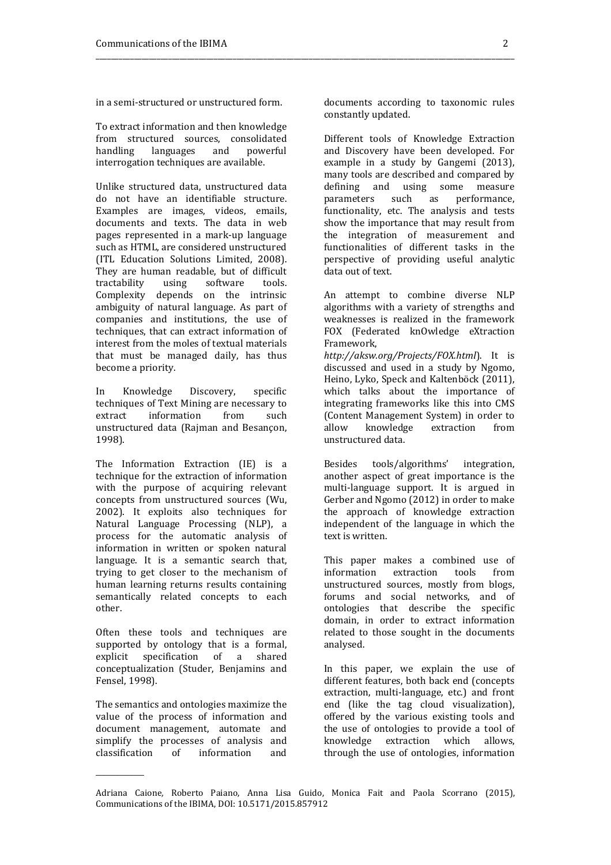in a semi-structured or unstructured form.

To extract information and then knowledge from structured sources, consolidated handling languages and powerful interrogation techniques are available.

Unlike structured data, unstructured data do not have an identifiable structure. Examples are images, videos, emails, documents and texts. The data in web pages represented in a mark-up language such as HTML, are considered unstructured (ITL Education Solutions Limited, 2008). They are human readable, but of difficult tractability using software tools. Complexity depends on the intrinsic ambiguity of natural language. As part of companies and institutions, the use of techniques, that can extract information of interest from the moles of textual materials that must be managed daily, has thus become a priority.

In Knowledge Discovery, specific techniques of Text Mining are necessary to extract information from such unstructured data (Rajman and Besançon, 1998).

The Information Extraction (IE) is a technique for the extraction of information with the purpose of acquiring relevant concepts from unstructured sources (Wu, 2002). It exploits also techniques for Natural Language Processing (NLP), a process for the automatic analysis of information in written or spoken natural language. It is a semantic search that, trying to get closer to the mechanism of human learning returns results containing semantically related concepts to each other.

Often these tools and techniques are supported by ontology that is a formal, explicit specification of a shared conceptualization (Studer, Benjamins and Fensel, 1998).

The semantics and ontologies maximize the value of the process of information and document management, automate and simplify the processes of analysis and classification of information and

\_\_\_\_\_\_\_\_\_\_\_\_\_\_

documents according to taxonomic rules constantly updated.

\_\_\_\_\_\_\_\_\_\_\_\_\_\_\_\_\_\_\_\_\_\_\_\_\_\_\_\_\_\_\_\_\_\_\_\_\_\_\_\_\_\_\_\_\_\_\_\_\_\_\_\_\_\_\_\_\_\_\_\_\_\_\_\_\_\_\_\_\_\_\_\_\_\_\_\_\_\_\_\_\_\_\_\_\_\_\_\_\_\_\_\_\_\_\_\_\_\_\_\_\_\_\_\_\_\_\_\_\_\_

Different tools of Knowledge Extraction and Discovery have been developed. For example in a study by Gangemi (2013), many tools are described and compared by defining and using some measure parameters such as performance, functionality, etc. The analysis and tests show the importance that may result from the integration of measurement and functionalities of different tasks in the perspective of providing useful analytic data out of text.

An attempt to combine diverse NLP algorithms with a variety of strengths and weaknesses is realized in the framework FOX (Federated knOwledge eXtraction Framework,

*http://aksw.org/Projects/FOX.html*). It is discussed and used in a study by Ngomo, Heino, Lyko, Speck and Kaltenböck (2011), which talks about the importance of integrating frameworks like this into CMS (Content Management System) in order to allow knowledge extraction from unstructured data.

Besides tools/algorithms' integration, another aspect of great importance is the multi-language support. It is argued in Gerber and Ngomo (2012) in order to make the approach of knowledge extraction independent of the language in which the text is written.

This paper makes a combined use of information extraction tools from unstructured sources, mostly from blogs, forums and social networks, and of ontologies that describe the specific domain, in order to extract information related to those sought in the documents analysed.

In this paper, we explain the use of different features, both back end (concepts extraction, multi-language, etc.) and front end (like the tag cloud visualization), offered by the various existing tools and the use of ontologies to provide a tool of knowledge extraction which allows, through the use of ontologies, information

Adriana Caione*,* Roberto Paiano, Anna Lisa Guido, Monica Fait and Paola Scorrano (2015), Communications of the IBIMA, DOI: 10.5171/2015.857912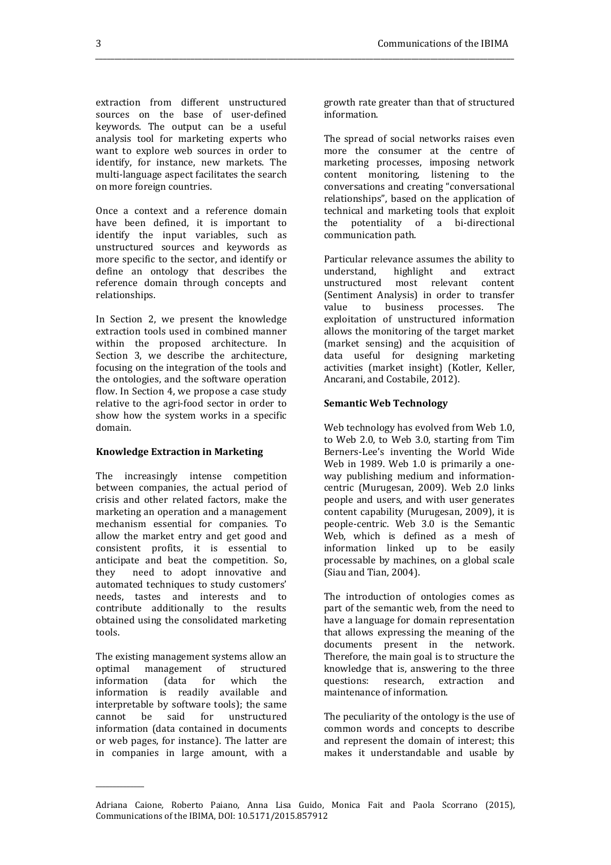extraction from different unstructured sources on the base of user-defined keywords. The output can be a useful analysis tool for marketing experts who want to explore web sources in order to identify, for instance, new markets. The multi-language aspect facilitates the search on more foreign countries.

Once a context and a reference domain have been defined, it is important to identify the input variables, such as unstructured sources and keywords as more specific to the sector, and identify or define an ontology that describes the reference domain through concepts and relationships.

In Section 2, we present the knowledge extraction tools used in combined manner within the proposed architecture. In Section 3, we describe the architecture, focusing on the integration of the tools and the ontologies, and the software operation flow. In Section 4, we propose a case study relative to the agri-food sector in order to show how the system works in a specific domain.

#### **Knowledge Extraction in Marketing**

The increasingly intense competition between companies, the actual period of crisis and other related factors, make the marketing an operation and a management mechanism essential for companies. To allow the market entry and get good and consistent profits, it is essential to anticipate and beat the competition. So, they need to adopt innovative and automated techniques to study customers' needs, tastes and interests and to contribute additionally to the results obtained using the consolidated marketing tools.

The existing management systems allow an optimal management of structured information (data for which the information is readily available and interpretable by software tools); the same<br>cannot be said for unstructured cannot be said for unstructured information (data contained in documents or web pages, for instance). The latter are in companies in large amount, with a

\_\_\_\_\_\_\_\_\_\_\_\_\_\_

growth rate greater than that of structured information.

*\_\_\_\_\_\_\_\_\_\_\_\_\_\_\_\_\_\_\_\_\_\_\_\_\_\_\_\_\_\_\_\_\_\_\_\_\_\_\_\_\_\_\_\_\_\_\_\_\_\_\_\_\_\_\_\_\_\_\_\_\_\_\_\_\_\_\_\_\_\_\_\_\_\_\_\_\_\_\_\_\_\_\_\_\_\_\_\_\_\_\_\_\_\_\_\_\_\_\_\_\_\_\_\_\_\_\_\_\_\_* 

The spread of social networks raises even more the consumer at the centre of marketing processes, imposing network content monitoring, listening to the conversations and creating "conversational relationships", based on the application of technical and marketing tools that exploit the potentiality of a bi-directional communication path.

Particular relevance assumes the ability to understand, highlight and extract unstructured most relevant content (Sentiment Analysis) in order to transfer value to business processes. The exploitation of unstructured information allows the monitoring of the target market (market sensing) and the acquisition of data useful for designing marketing activities (market insight) (Kotler, Keller, Ancarani, and Costabile, 2012).

#### **Semantic Web Technology**

Web technology has evolved from Web 1.0, to Web 2.0, to Web 3.0, starting from Tim Berners-Lee's inventing the World Wide Web in 1989. Web 1.0 is primarily a oneway publishing medium and informationcentric (Murugesan, 2009). Web 2.0 links people and users, and with user generates content capability (Murugesan, 2009), it is people-centric. Web 3.0 is the Semantic Web, which is defined as a mesh of information linked up to be easily processable by machines, on a global scale (Siau and Tian, 2004).

The introduction of ontologies comes as part of the semantic web, from the need to have a language for domain representation that allows expressing the meaning of the documents present in the network. Therefore, the main goal is to structure the knowledge that is, answering to the three questions: research, extraction and maintenance of information.

The peculiarity of the ontology is the use of common words and concepts to describe and represent the domain of interest; this makes it understandable and usable by

Adriana Caione*,* Roberto Paiano, Anna Lisa Guido, Monica Fait and Paola Scorrano (2015), Communications of the IBIMA, DOI: 10.5171/2015.857912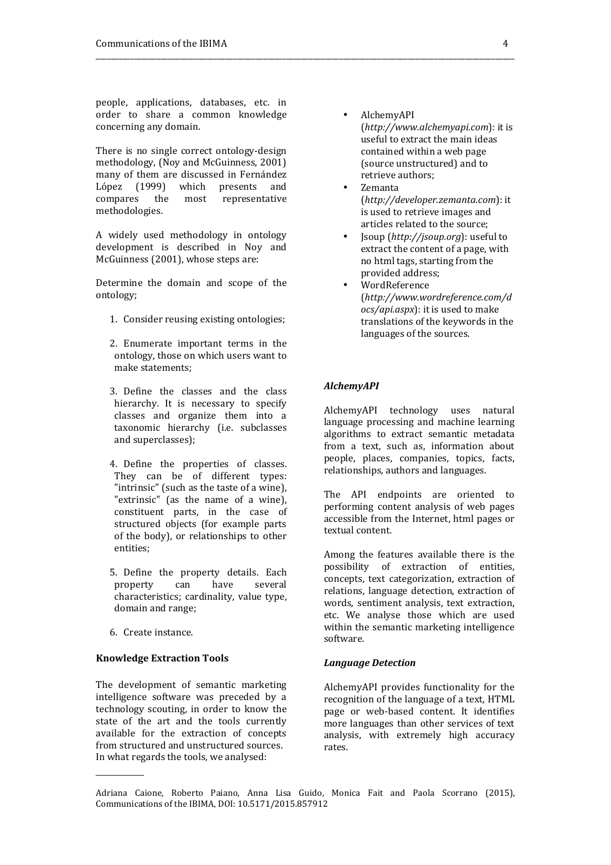people, applications, databases, etc. in order to share a common knowledge concerning any domain.

There is no single correct ontology-design methodology, (Noy and McGuinness, 2001) many of them are discussed in Fernández López (1999) which presents and compares the most representative methodologies.

A widely used methodology in ontology development is described in Noy and McGuinness (2001), whose steps are:

Determine the domain and scope of the ontology;

- 1. Consider reusing existing ontologies;
- 2. Enumerate important terms in the ontology, those on which users want to make statements;
- 3. Define the classes and the class hierarchy. It is necessary to specify classes and organize them into a taxonomic hierarchy (i.e. subclasses and superclasses);
- 4. Define the properties of classes. They can be of different types: "intrinsic" (such as the taste of a wine), "extrinsic" (as the name of a wine), constituent parts, in the case of structured objects (for example parts of the body), or relationships to other entities;
- 5. Define the property details. Each property can have several characteristics; cardinality, value type, domain and range;
- 6. Create instance.

\_\_\_\_\_\_\_\_\_\_\_\_\_\_

# **Knowledge Extraction Tools**

The development of semantic marketing intelligence software was preceded by a technology scouting, in order to know the state of the art and the tools currently available for the extraction of concepts from structured and unstructured sources. In what regards the tools, we analysed:

- AlchemyAPI (*http://www.alchemyapi.com*): it is useful to extract the main ideas contained within a web page (source unstructured) and to retrieve authors;
- Zemanta (*http://developer.zemanta.com*): it is used to retrieve images and articles related to the source;
- Jsoup (*http://jsoup.org*): useful to extract the content of a page, with no html tags, starting from the provided address;
- **WordReference** (*http://www.wordreference.com/d ocs/api.aspx*): it is used to make translations of the keywords in the languages of the sources.

# *AlchemyAPI*

\_\_\_\_\_\_\_\_\_\_\_\_\_\_\_\_\_\_\_\_\_\_\_\_\_\_\_\_\_\_\_\_\_\_\_\_\_\_\_\_\_\_\_\_\_\_\_\_\_\_\_\_\_\_\_\_\_\_\_\_\_\_\_\_\_\_\_\_\_\_\_\_\_\_\_\_\_\_\_\_\_\_\_\_\_\_\_\_\_\_\_\_\_\_\_\_\_\_\_\_\_\_\_\_\_\_\_\_\_\_

AlchemyAPI technology uses natural language processing and machine learning algorithms to extract semantic metadata from a text, such as, information about people, places, companies, topics, facts, relationships, authors and languages.

The API endpoints are oriented to performing content analysis of web pages accessible from the Internet, html pages or textual content.

Among the features available there is the possibility of extraction of entities, concepts, text categorization, extraction of relations, language detection, extraction of words, sentiment analysis, text extraction, etc. We analyse those which are used within the semantic marketing intelligence software.

#### *Language Detection*

AlchemyAPI provides functionality for the recognition of the language of a text, HTML page or web-based content. It identifies more languages than other services of text analysis, with extremely high accuracy rates.

Adriana Caione*,* Roberto Paiano, Anna Lisa Guido, Monica Fait and Paola Scorrano (2015), Communications of the IBIMA, DOI: 10.5171/2015.857912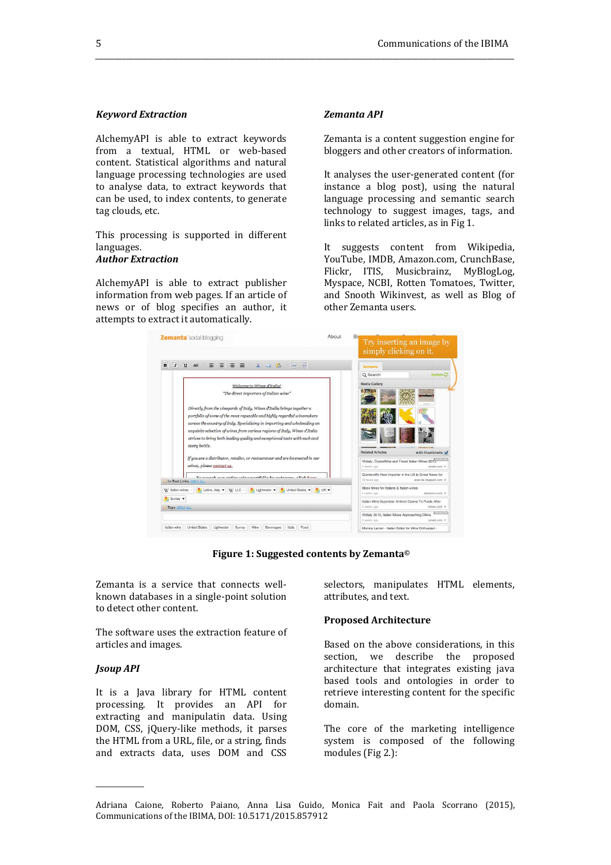# *Keyword Extraction*

AlchemyAPI is able to extract keywords from a textual, HTML or web-based content. Statistical algorithms and natural language processing technologies are used to analyse data, to extract keywords that can be used, to index contents, to generate tag clouds, etc.

This processing is supported in different languages.

# *Author Extraction*

AlchemyAPI is able to extract publisher information from web pages. If an article of news or of blog specifies an author, it attempts to extract it automatically.

## *Zemanta API*

*\_\_\_\_\_\_\_\_\_\_\_\_\_\_\_\_\_\_\_\_\_\_\_\_\_\_\_\_\_\_\_\_\_\_\_\_\_\_\_\_\_\_\_\_\_\_\_\_\_\_\_\_\_\_\_\_\_\_\_\_\_\_\_\_\_\_\_\_\_\_\_\_\_\_\_\_\_\_\_\_\_\_\_\_\_\_\_\_\_\_\_\_\_\_\_\_\_\_\_\_\_\_\_\_\_\_\_\_\_\_* 

Zemanta is a content suggestion engine for bloggers and other creators of information.

It analyses the user-generated content (for instance a blog post), using the natural language processing and semantic search technology to suggest images, tags, and links to related articles, as in Fig 1.

It suggests content from Wikipedia, YouTube, IMDB, Amazon.com, CrunchBase, Flickr, ITIS, Musicbrainz, MyBlogLog, Myspace, NCBI, Rotten Tomatoes, Twitter, and Snooth Wikinvest, as well as Blog of other Zemanta users.



**Figure 1: Suggested contents by Zemanta©**

Zemanta is a service that connects wellknown databases in a single-point solution to detect other content.

The software uses the extraction feature of articles and images.

# *Jsoup API*

\_\_\_\_\_\_\_\_\_\_\_\_\_\_

It is a Java library for HTML content processing. It provides an API for extracting and manipulatin data. Using DOM, CSS, jQuery-like methods, it parses the HTML from a URL, file, or a string, finds and extracts data, uses DOM and CSS

selectors, manipulates HTML elements, attributes, and text.

#### **Proposed Architecture**

Based on the above considerations, in this section, we describe the proposed architecture that integrates existing java based tools and ontologies in order to retrieve interesting content for the specific domain.

The core of the marketing intelligence system is composed of the following modules (Fig 2.):

Adriana Caione*,* Roberto Paiano, Anna Lisa Guido, Monica Fait and Paola Scorrano (2015), Communications of the IBIMA, DOI: 10.5171/2015.857912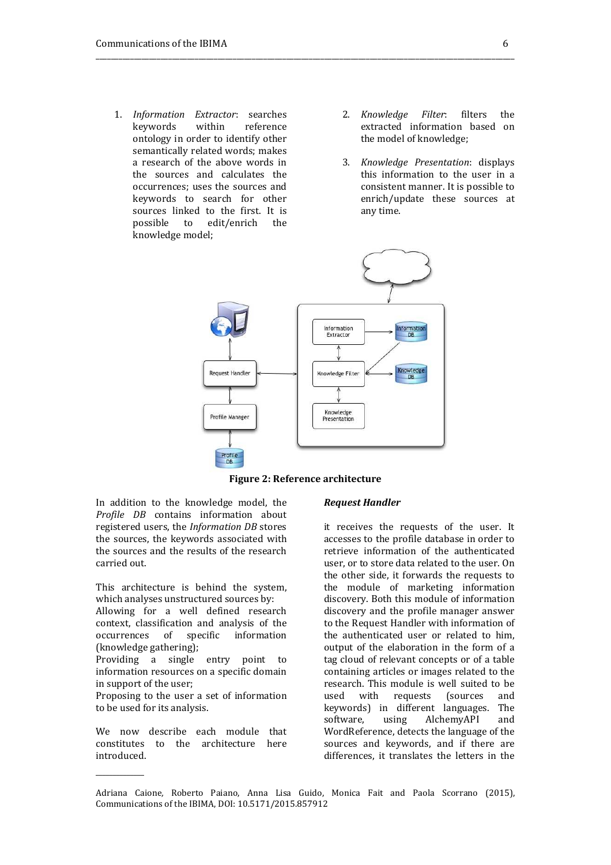- 1. *Information Extractor*: searches keywords within reference ontology in order to identify other semantically related words; makes a research of the above words in the sources and calculates the occurrences; uses the sources and keywords to search for other sources linked to the first. It is possible to edit/enrich the knowledge model;
- 2. *Knowledge Filter*: filters the extracted information based on the model of knowledge;
- 3. *Knowledge Presentation*: displays this information to the user in a consistent manner. It is possible to enrich/update these sources at any time.



\_\_\_\_\_\_\_\_\_\_\_\_\_\_\_\_\_\_\_\_\_\_\_\_\_\_\_\_\_\_\_\_\_\_\_\_\_\_\_\_\_\_\_\_\_\_\_\_\_\_\_\_\_\_\_\_\_\_\_\_\_\_\_\_\_\_\_\_\_\_\_\_\_\_\_\_\_\_\_\_\_\_\_\_\_\_\_\_\_\_\_\_\_\_\_\_\_\_\_\_\_\_\_\_\_\_\_\_\_\_

#### **Figure 2: Reference architecture**

In addition to the knowledge model, the *Profile DB* contains information about registered users, the *Information DB* stores the sources, the keywords associated with the sources and the results of the research carried out.

This architecture is behind the system, which analyses unstructured sources by:

Allowing for a well defined research context, classification and analysis of the occurrences of specific information (knowledge gathering);

Providing a single entry point to information resources on a specific domain in support of the user;

Proposing to the user a set of information to be used for its analysis.

We now describe each module that constitutes to the architecture here introduced.

\_\_\_\_\_\_\_\_\_\_\_\_\_\_

#### *Request Handler*

it receives the requests of the user. It accesses to the profile database in order to retrieve information of the authenticated user, or to store data related to the user. On the other side, it forwards the requests to the module of marketing information discovery. Both this module of information discovery and the profile manager answer to the Request Handler with information of the authenticated user or related to him, output of the elaboration in the form of a tag cloud of relevant concepts or of a table containing articles or images related to the research. This module is well suited to be used with requests (sources and keywords) in different languages. The software, using AlchemyAPI and WordReference, detects the language of the sources and keywords, and if there are differences, it translates the letters in the

Adriana Caione*,* Roberto Paiano, Anna Lisa Guido, Monica Fait and Paola Scorrano (2015), Communications of the IBIMA, DOI: 10.5171/2015.857912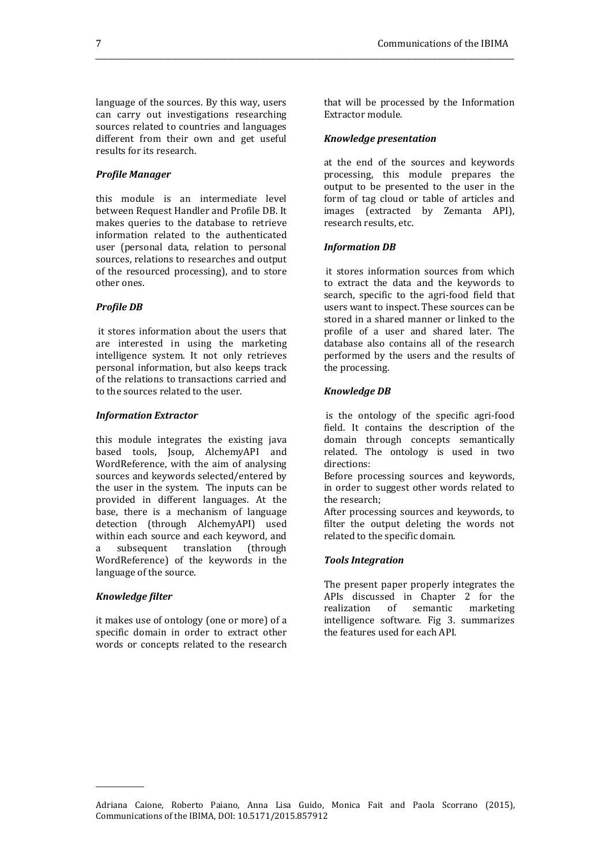language of the sources. By this way, users can carry out investigations researching sources related to countries and languages different from their own and get useful results for its research.

# *Profile Manager*

this module is an intermediate level between Request Handler and Profile DB. It makes queries to the database to retrieve information related to the authenticated user (personal data, relation to personal sources, relations to researches and output of the resourced processing), and to store other ones.

#### *Profile DB*

it stores information about the users that are interested in using the marketing intelligence system. It not only retrieves personal information, but also keeps track of the relations to transactions carried and to the sources related to the user.

#### *Information Extractor*

this module integrates the existing java based tools, Jsoup, AlchemyAPI and WordReference, with the aim of analysing sources and keywords selected/entered by the user in the system. The inputs can be provided in different languages. At the base, there is a mechanism of language detection (through AlchemyAPI) used within each source and each keyword, and a subsequent translation (through WordReference) of the keywords in the language of the source.

#### *Knowledge filter*

\_\_\_\_\_\_\_\_\_\_\_\_\_\_

it makes use of ontology (one or more) of a specific domain in order to extract other words or concepts related to the research that will be processed by the Information Extractor module.

#### *Knowledge presentation*

*\_\_\_\_\_\_\_\_\_\_\_\_\_\_\_\_\_\_\_\_\_\_\_\_\_\_\_\_\_\_\_\_\_\_\_\_\_\_\_\_\_\_\_\_\_\_\_\_\_\_\_\_\_\_\_\_\_\_\_\_\_\_\_\_\_\_\_\_\_\_\_\_\_\_\_\_\_\_\_\_\_\_\_\_\_\_\_\_\_\_\_\_\_\_\_\_\_\_\_\_\_\_\_\_\_\_\_\_\_\_* 

at the end of the sources and keywords processing, this module prepares the output to be presented to the user in the form of tag cloud or table of articles and images (extracted by Zemanta API), research results, etc.

#### *Information DB*

it stores information sources from which to extract the data and the keywords to search, specific to the agri-food field that users want to inspect. These sources can be stored in a shared manner or linked to the profile of a user and shared later. The database also contains all of the research performed by the users and the results of the processing.

#### *Knowledge DB*

is the ontology of the specific agri-food field. It contains the description of the domain through concepts semantically related. The ontology is used in two directions:

Before processing sources and keywords, in order to suggest other words related to the research;

After processing sources and keywords, to filter the output deleting the words not related to the specific domain.

#### *Tools Integration*

The present paper properly integrates the APIs discussed in Chapter 2 for the realization of semantic marketing intelligence software. Fig 3. summarizes the features used for each API.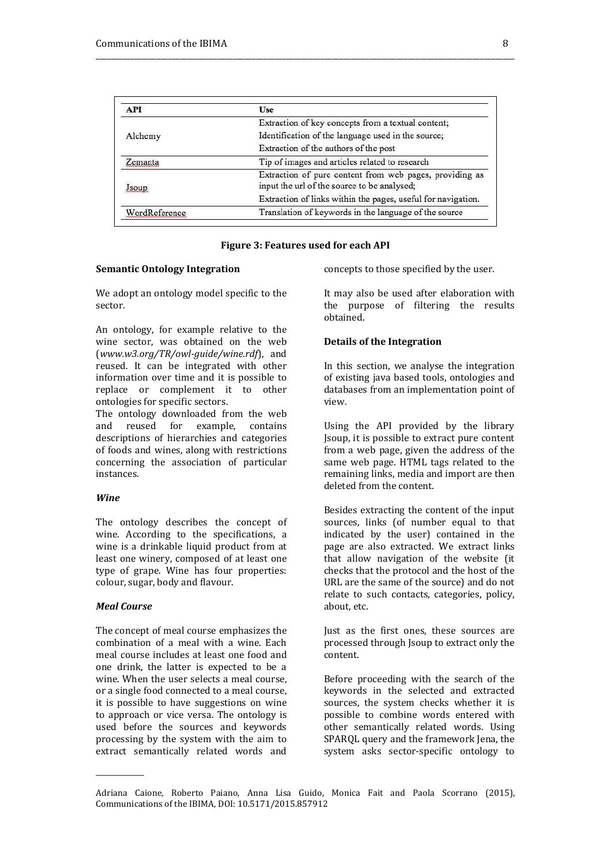| <b>API</b>    | Use                                                                                                    |
|---------------|--------------------------------------------------------------------------------------------------------|
| Alchemy       | Extraction of key concepts from a textual content;                                                     |
|               | Identification of the language used in the source;                                                     |
|               | Extraction of the authors of the post                                                                  |
| emanta        | Tip of images and articles related to research                                                         |
| sour          | Extraction of pure content from web pages, providing as<br>input the url of the source to be analysed; |
|               | Extraction of links within the pages, useful for navigation.                                           |
| WordReference | Translation of keywords in the language of the source                                                  |

\_\_\_\_\_\_\_\_\_\_\_\_\_\_\_\_\_\_\_\_\_\_\_\_\_\_\_\_\_\_\_\_\_\_\_\_\_\_\_\_\_\_\_\_\_\_\_\_\_\_\_\_\_\_\_\_\_\_\_\_\_\_\_\_\_\_\_\_\_\_\_\_\_\_\_\_\_\_\_\_\_\_\_\_\_\_\_\_\_\_\_\_\_\_\_\_\_\_\_\_\_\_\_\_\_\_\_\_\_\_

## **Figure 3: Features used for each API**

#### **Semantic Ontology Integration**

We adopt an ontology model specific to the sector.

An ontology, for example relative to the wine sector, was obtained on the web (*www.w3.org/TR/owl-guide/wine.rdf*), and reused. It can be integrated with other information over time and it is possible to replace or complement it to other ontologies for specific sectors.

The ontology downloaded from the web and reused for example, contains descriptions of hierarchies and categories of foods and wines, along with restrictions concerning the association of particular instances.

#### *Wine*

The ontology describes the concept of wine. According to the specifications, a wine is a drinkable liquid product from at least one winery, composed of at least one type of grape. Wine has four properties: colour, sugar, body and flavour.

# *Meal Course*

\_\_\_\_\_\_\_\_\_\_\_\_\_\_

The concept of meal course emphasizes the combination of a meal with a wine. Each meal course includes at least one food and one drink, the latter is expected to be a wine. When the user selects a meal course, or a single food connected to a meal course, it is possible to have suggestions on wine to approach or vice versa. The ontology is used before the sources and keywords processing by the system with the aim to extract semantically related words and concepts to those specified by the user.

It may also be used after elaboration with the purpose of filtering the results obtained.

## **Details of the Integration**

In this section, we analyse the integration of existing java based tools, ontologies and databases from an implementation point of view.

Using the API provided by the library Jsoup, it is possible to extract pure content from a web page, given the address of the same web page. HTML tags related to the remaining links, media and import are then deleted from the content.

Besides extracting the content of the input sources, links (of number equal to that indicated by the user) contained in the page are also extracted. We extract links that allow navigation of the website (it checks that the protocol and the host of the URL are the same of the source) and do not relate to such contacts, categories, policy, about, etc.

Just as the first ones, these sources are processed through Jsoup to extract only the content.

Before proceeding with the search of the keywords in the selected and extracted sources, the system checks whether it is possible to combine words entered with other semantically related words. Using SPARQL query and the framework Jena, the system asks sector-specific ontology to

Adriana Caione*,* Roberto Paiano, Anna Lisa Guido, Monica Fait and Paola Scorrano (2015), Communications of the IBIMA, DOI: 10.5171/2015.857912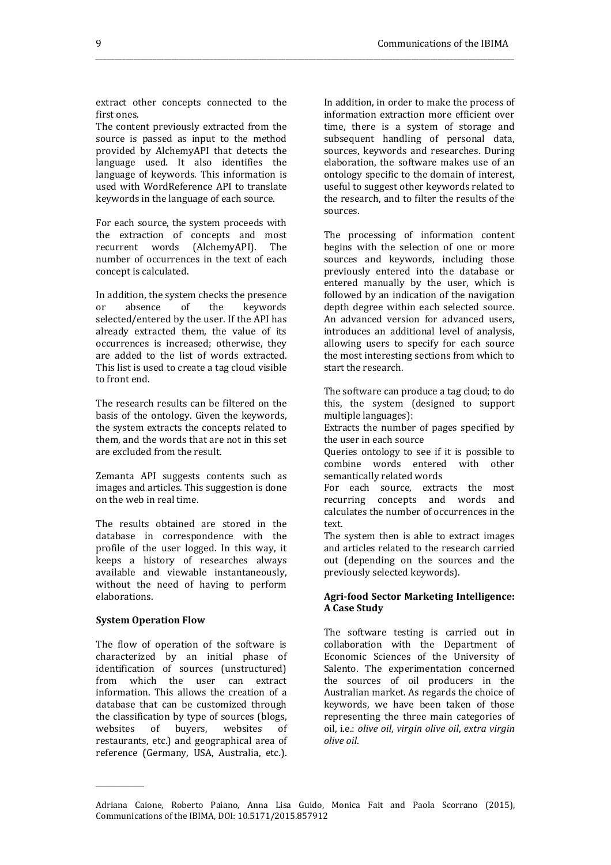extract other concepts connected to the first ones.

*\_\_\_\_\_\_\_\_\_\_\_\_\_\_\_\_\_\_\_\_\_\_\_\_\_\_\_\_\_\_\_\_\_\_\_\_\_\_\_\_\_\_\_\_\_\_\_\_\_\_\_\_\_\_\_\_\_\_\_\_\_\_\_\_\_\_\_\_\_\_\_\_\_\_\_\_\_\_\_\_\_\_\_\_\_\_\_\_\_\_\_\_\_\_\_\_\_\_\_\_\_\_\_\_\_\_\_\_\_\_* 

The content previously extracted from the source is passed as input to the method provided by AlchemyAPI that detects the language used. It also identifies the language of keywords. This information is used with WordReference API to translate keywords in the language of each source.

For each source, the system proceeds with the extraction of concepts and most recurrent words (AlchemyAPI). The number of occurrences in the text of each concept is calculated.

In addition, the system checks the presence or absence of the keywords selected/entered by the user. If the API has already extracted them, the value of its occurrences is increased; otherwise, they are added to the list of words extracted. This list is used to create a tag cloud visible to front end.

The research results can be filtered on the basis of the ontology. Given the keywords, the system extracts the concepts related to them, and the words that are not in this set are excluded from the result.

Zemanta API suggests contents such as images and articles. This suggestion is done on the web in real time.

The results obtained are stored in the database in correspondence with the profile of the user logged. In this way, it keeps a history of researches always available and viewable instantaneously, without the need of having to perform elaborations.

#### **System Operation Flow**

\_\_\_\_\_\_\_\_\_\_\_\_\_\_

The flow of operation of the software is characterized by an initial phase of identification of sources (unstructured) from which the user can extract information. This allows the creation of a database that can be customized through the classification by type of sources (blogs, websites of buyers, websites of restaurants, etc.) and geographical area of reference (Germany, USA, Australia, etc.). In addition, in order to make the process of information extraction more efficient over time, there is a system of storage and subsequent handling of personal data, sources, keywords and researches. During elaboration, the software makes use of an ontology specific to the domain of interest, useful to suggest other keywords related to the research, and to filter the results of the sources.

The processing of information content begins with the selection of one or more sources and keywords, including those previously entered into the database or entered manually by the user, which is followed by an indication of the navigation depth degree within each selected source. An advanced version for advanced users, introduces an additional level of analysis, allowing users to specify for each source the most interesting sections from which to start the research.

The software can produce a tag cloud; to do this, the system (designed to support multiple languages):

Extracts the number of pages specified by the user in each source

Queries ontology to see if it is possible to combine words entered with other semantically related words

For each source, extracts the most recurring concepts and words and calculates the number of occurrences in the text.

The system then is able to extract images and articles related to the research carried out (depending on the sources and the previously selected keywords).

#### **Agri-food Sector Marketing Intelligence: A Case Study**

The software testing is carried out in collaboration with the Department of Economic Sciences of the University of Salento. The experimentation concerned the sources of oil producers in the Australian market. As regards the choice of keywords, we have been taken of those representing the three main categories of oil, i.e.: *olive oil*, *virgin olive oil*, *extra virgin olive oil*.

Adriana Caione*,* Roberto Paiano, Anna Lisa Guido, Monica Fait and Paola Scorrano (2015), Communications of the IBIMA, DOI: 10.5171/2015.857912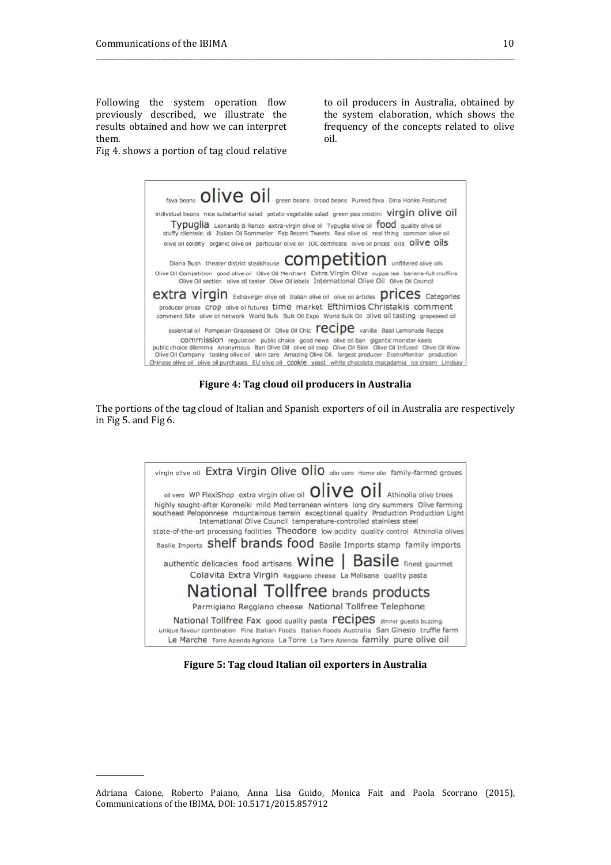\_\_\_\_\_\_\_\_\_\_\_\_\_\_

Following the system operation flow previously described, we illustrate the results obtained and how we can interpret them.

to oil producers in Australia, obtained by the system elaboration, which shows the frequency of the concepts related to olive oil.

Fig 4. shows a portion of tag cloud relative



\_\_\_\_\_\_\_\_\_\_\_\_\_\_\_\_\_\_\_\_\_\_\_\_\_\_\_\_\_\_\_\_\_\_\_\_\_\_\_\_\_\_\_\_\_\_\_\_\_\_\_\_\_\_\_\_\_\_\_\_\_\_\_\_\_\_\_\_\_\_\_\_\_\_\_\_\_\_\_\_\_\_\_\_\_\_\_\_\_\_\_\_\_\_\_\_\_\_\_\_\_\_\_\_\_\_\_\_\_\_

**Figure 4: Tag cloud oil producers in Australia** 

The portions of the tag cloud of Italian and Spanish exporters of oil in Australia are respectively in Fig 5. and Fig 6.



**Figure 5: Tag cloud Italian oil exporters in Australia** 

Adriana Caione*,* Roberto Paiano, Anna Lisa Guido, Monica Fait and Paola Scorrano (2015), Communications of the IBIMA, DOI: 10.5171/2015.857912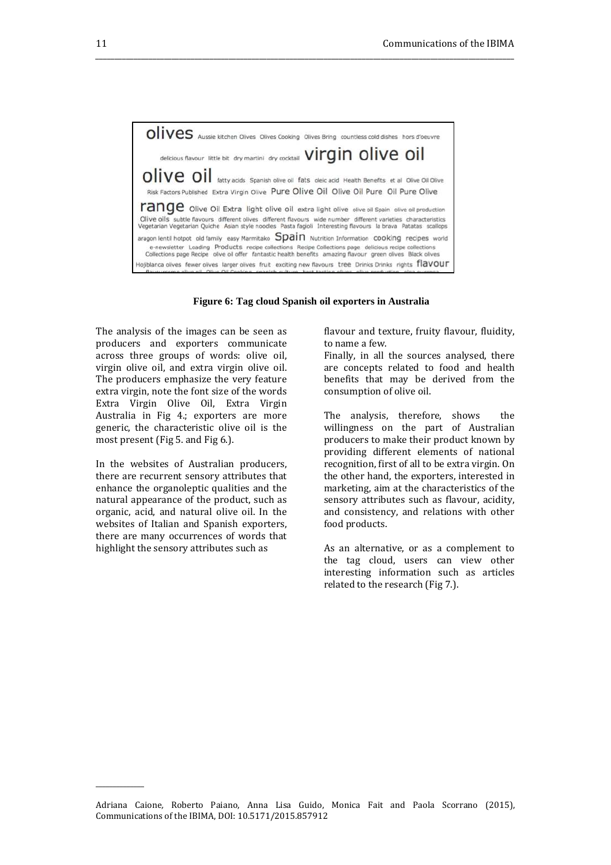OIIVES Aussie kitchen Olives Olives Cooking Olives Bring countless cold dishes hors d'oeuvre delicious flavour little bit dry martini dry cocktail Virgin olive oil OIIVe OII fatty acids Spanish olive oil fats oleic acid Health Benefits et al Olive Oil Olive Risk Factors Published Extra Virgin Olive Pure Olive Oil Olive Oil Pure Oil Pure Olive range olive Oil Extra light olive oil extra light olive olive oil Spain olive oil production Olive oils subtle flavours different olives different flavours wide number different varieties characteristics<br>Vegetarian Vegetarian Quiche Asian style noodles Pasta fagioli Interesting flavours la brava Patatas scallops aragon lentil hotpot old family easy Marmitako Spain Nutrition Information cooking recipes world e-newsletter Loading Products recipe collections Recipe Collections page delicious recipe collections<br>Collections page Recipe olive oil offer fantastic health benefits amazing flavour green olives Black olives dojiblanca olives fewer olives larger olives fruit exciting new flavours tree Drinks Drinks rights flavour

*\_\_\_\_\_\_\_\_\_\_\_\_\_\_\_\_\_\_\_\_\_\_\_\_\_\_\_\_\_\_\_\_\_\_\_\_\_\_\_\_\_\_\_\_\_\_\_\_\_\_\_\_\_\_\_\_\_\_\_\_\_\_\_\_\_\_\_\_\_\_\_\_\_\_\_\_\_\_\_\_\_\_\_\_\_\_\_\_\_\_\_\_\_\_\_\_\_\_\_\_\_\_\_\_\_\_\_\_\_\_* 



The analysis of the images can be seen as producers and exporters communicate across three groups of words: olive oil, virgin olive oil, and extra virgin olive oil. The producers emphasize the very feature extra virgin, note the font size of the words Extra Virgin Olive Oil, Extra Virgin Australia in Fig 4.; exporters are more generic, the characteristic olive oil is the most present (Fig 5. and Fig 6.).

In the websites of Australian producers, there are recurrent sensory attributes that enhance the organoleptic qualities and the natural appearance of the product, such as organic, acid, and natural olive oil. In the websites of Italian and Spanish exporters, there are many occurrences of words that highlight the sensory attributes such as

\_\_\_\_\_\_\_\_\_\_\_\_\_\_

flavour and texture, fruity flavour, fluidity, to name a few.

Finally, in all the sources analysed, there are concepts related to food and health benefits that may be derived from the consumption of olive oil.

The analysis, therefore, shows the willingness on the part of Australian producers to make their product known by providing different elements of national recognition, first of all to be extra virgin. On the other hand, the exporters, interested in marketing, aim at the characteristics of the sensory attributes such as flavour, acidity, and consistency, and relations with other food products.

As an alternative, or as a complement to the tag cloud, users can view other interesting information such as articles related to the research (Fig 7.).

Adriana Caione*,* Roberto Paiano, Anna Lisa Guido, Monica Fait and Paola Scorrano (2015), Communications of the IBIMA, DOI: 10.5171/2015.857912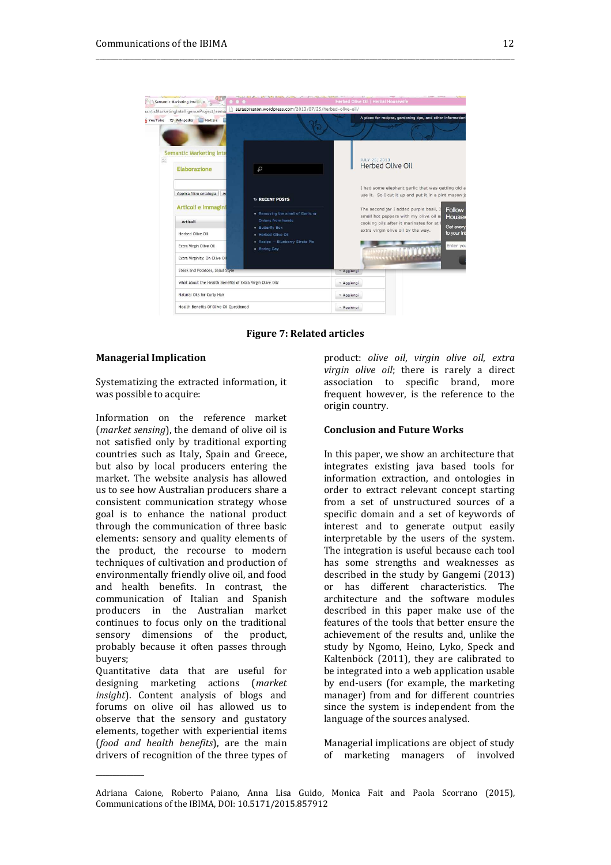

\_\_\_\_\_\_\_\_\_\_\_\_\_\_\_\_\_\_\_\_\_\_\_\_\_\_\_\_\_\_\_\_\_\_\_\_\_\_\_\_\_\_\_\_\_\_\_\_\_\_\_\_\_\_\_\_\_\_\_\_\_\_\_\_\_\_\_\_\_\_\_\_\_\_\_\_\_\_\_\_\_\_\_\_\_\_\_\_\_\_\_\_\_\_\_\_\_\_\_\_\_\_\_\_\_\_\_\_\_\_

**Figure 7: Related articles** 

## **Managerial Implication**

Systematizing the extracted information, it was possible to acquire:

Information on the reference market (*market sensing*), the demand of olive oil is not satisfied only by traditional exporting countries such as Italy, Spain and Greece, but also by local producers entering the market. The website analysis has allowed us to see how Australian producers share a consistent communication strategy whose goal is to enhance the national product through the communication of three basic elements: sensory and quality elements of the product, the recourse to modern techniques of cultivation and production of environmentally friendly olive oil, and food and health benefits. In contrast, the communication of Italian and Spanish producers in the Australian market continues to focus only on the traditional sensory dimensions of the product, probably because it often passes through buyers;

Quantitative data that are useful for designing marketing actions (*market insight*). Content analysis of blogs and forums on olive oil has allowed us to observe that the sensory and gustatory elements, together with experiential items (*food and health benefits*), are the main drivers of recognition of the three types of

\_\_\_\_\_\_\_\_\_\_\_\_\_\_

product: *olive oil*, *virgin olive oil*, *extra virgin olive oil*; there is rarely a direct association to specific brand, more frequent however, is the reference to the origin country.

## **Conclusion and Future Works**

In this paper, we show an architecture that integrates existing java based tools for information extraction, and ontologies in order to extract relevant concept starting from a set of unstructured sources of a specific domain and a set of keywords of interest and to generate output easily interpretable by the users of the system. The integration is useful because each tool has some strengths and weaknesses as described in the study by Gangemi (2013) or has different characteristics. The architecture and the software modules described in this paper make use of the features of the tools that better ensure the achievement of the results and, unlike the study by Ngomo, Heino, Lyko, Speck and Kaltenböck (2011), they are calibrated to be integrated into a web application usable by end-users (for example, the marketing manager) from and for different countries since the system is independent from the language of the sources analysed.

Managerial implications are object of study of marketing managers of involved

Adriana Caione*,* Roberto Paiano, Anna Lisa Guido, Monica Fait and Paola Scorrano (2015), Communications of the IBIMA, DOI: 10.5171/2015.857912